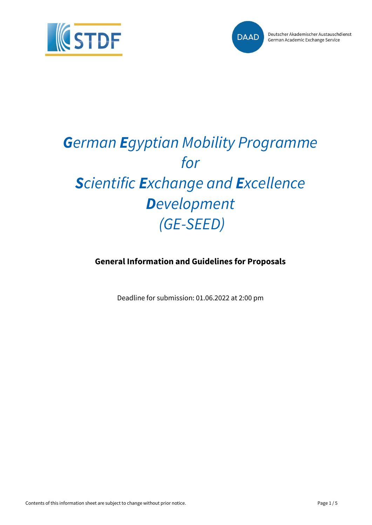



# *German Egyptian Mobility Programme for Scientific Exchange and Excellence Development (GE-SEED)*

**General Information and Guidelines for Proposals**

Deadline for submission: 01.06.2022 at 2:00 pm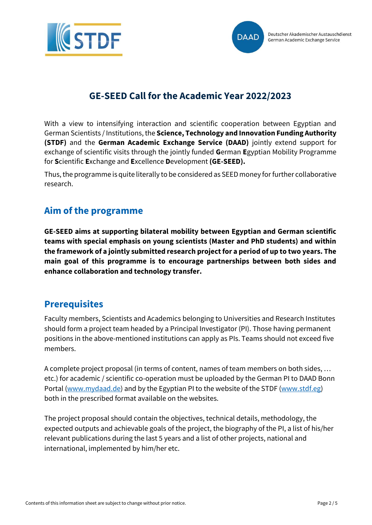



## **GE-SEED Call for the Academic Year 2022/2023**

With a view to intensifying interaction and scientific cooperation between Egyptian and German Scientists / Institutions, the **Science, Technology and Innovation Funding Authority (STDF)** and the **German Academic Exchange Service (DAAD)** jointly extend support for exchange of scientific visits through the jointly funded **G**erman **E**gyptian Mobility Programme for **S**cientific **E**xchange and **E**xcellence **D**evelopment **(GE-SEED).**

Thus, the programme is quite literally to be considered as SEED money for further collaborative research.

## **Aim of the programme**

**GE-SEED aims at supporting bilateral mobility between Egyptian and German scientific teams with special emphasis on young scientists (Master and PhD students) and within the framework of a jointly submitted research project for a period of up to two years. The main goal of this programme is to encourage partnerships between both sides and enhance collaboration and technology transfer.**

## **Prerequisites**

Faculty members, Scientists and Academics belonging to Universities and Research Institutes should form a project team headed by a Principal Investigator (PI). Those having permanent positions in the above-mentioned institutions can apply as PIs. Teams should not exceed five members.

A complete project proposal (in terms of content, names of team members on both sides, … etc.) for academic / scientific co-operation must be uploaded by the German PI to DAAD Bonn Portal [\(www.mydaad.de\)](http://www.mydaad.de/) and by the Egyptian PI to the website of the STDF [\(www.stdf.eg\)](http://www.stdf.eg/) both in the prescribed format available on the websites.

The project proposal should contain the objectives, technical details, methodology, the expected outputs and achievable goals of the project, the biography of the PI, a list of his/her relevant publications during the last 5 years and a list of other projects, national and international, implemented by him/her etc.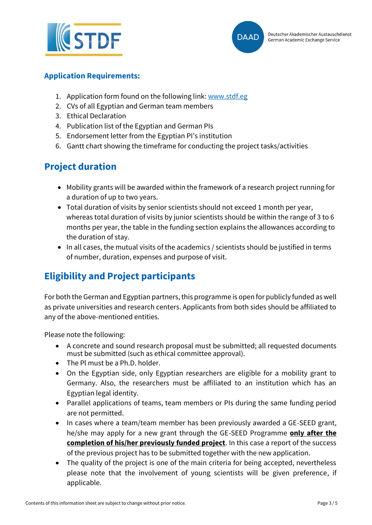



#### **Application Requirements:**

- 1. Application form found on the following link: [www.stdf.eg](http://www.stdf.eg/)
- 2. CVs of all Egyptian and German team members
- 3. Ethical Declaration
- 4. Publication list of the Egyptian and German PIs
- 5. Endorsement letter from the Egyptian PI's institution
- 6. Gantt chart showing the timeframe for conducting the project tasks/activities

## **Project duration**

- Mobility grants will be awarded within the framework of a research project running for a duration of up to two years.
- Total duration of visits by senior scientists should not exceed 1 month per year, whereas total duration of visits by junior scientists should be within the range of 3 to 6 months per year, the table in the funding section explains the allowances according to the duration of stay.
- In all cases, the mutual visits of the academics / scientists should be justified in terms of number, duration, expenses and purpose of visit.

# **Eligibility and Project participants**

For both the German and Egyptian partners, this programme is open for publicly funded as well as private universities and research centers. Applicants from both sides should be affiliated to any of the above-mentioned entities.

Please note the following:

- A concrete and sound research proposal must be submitted; all requested documents must be submitted (such as ethical committee approval).
- The Pl must be a Ph.D. holder.
- On the Egyptian side, only Egyptian researchers are eligible for a mobility grant to Germany. Also, the researchers must be affiliated to an institution which has an Egyptian legal identity.
- Parallel applications of teams, team members or PIs during the same funding period are not permitted.
- In cases where a team/team member has been previously awarded a GE-SEED grant, he/she may apply for a new grant through the GE-SEED Programme **only after the completion of his/her previously funded project**. In this case a report of the success of the previous project has to be submitted together with the new application.
- The quality of the project is one of the main criteria for being accepted, nevertheless please note that the involvement of young scientists will be given preference, if applicable.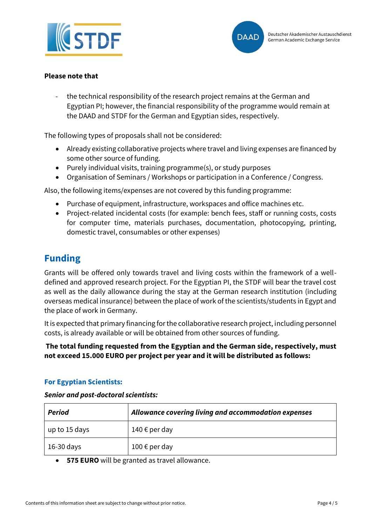



#### **Please note that**

the technical responsibility of the research project remains at the German and Egyptian PI; however, the financial responsibility of the programme would remain at the DAAD and STDF for the German and Egyptian sides, respectively.

The following types of proposals shall not be considered:

- Already existing collaborative projects where travel and living expenses are financed by some other source of funding.
- Purely individual visits, training programme(s), or study purposes
- Organisation of Seminars / Workshops or participation in a Conference / Congress.

Also, the following items/expenses are not covered by this funding programme:

- Purchase of equipment, infrastructure, workspaces and office machines etc.
- Project-related incidental costs (for example: bench fees, staff or running costs, costs for computer time, materials purchases, documentation, photocopying, printing, domestic travel, consumables or other expenses)

## **Funding**

Grants will be offered only towards travel and living costs within the framework of a welldefined and approved research project. For the Egyptian PI, the STDF will bear the travel cost as well as the daily allowance during the stay at the German research institution (including overseas medical insurance) between the place of work of the scientists/students in Egypt and the place of work in Germany.

It is expected that primary financing for the collaborative research project, including personnel costs, is already available or will be obtained from other sources of funding.

**The total funding requested from the Egyptian and the German side, respectively, must not exceed 15.000 EURO per project per year and it will be distributed as follows:** 

#### **For Egyptian Scientists:**

#### *Senior and post-doctoral scientists:*

| <b>Period</b> | Allowance covering living and accommodation expenses |
|---------------|------------------------------------------------------|
| up to 15 days | 140 € per day                                        |
| 16-30 days    | 100 € per day                                        |

• **575 EURO** will be granted as travel allowance.